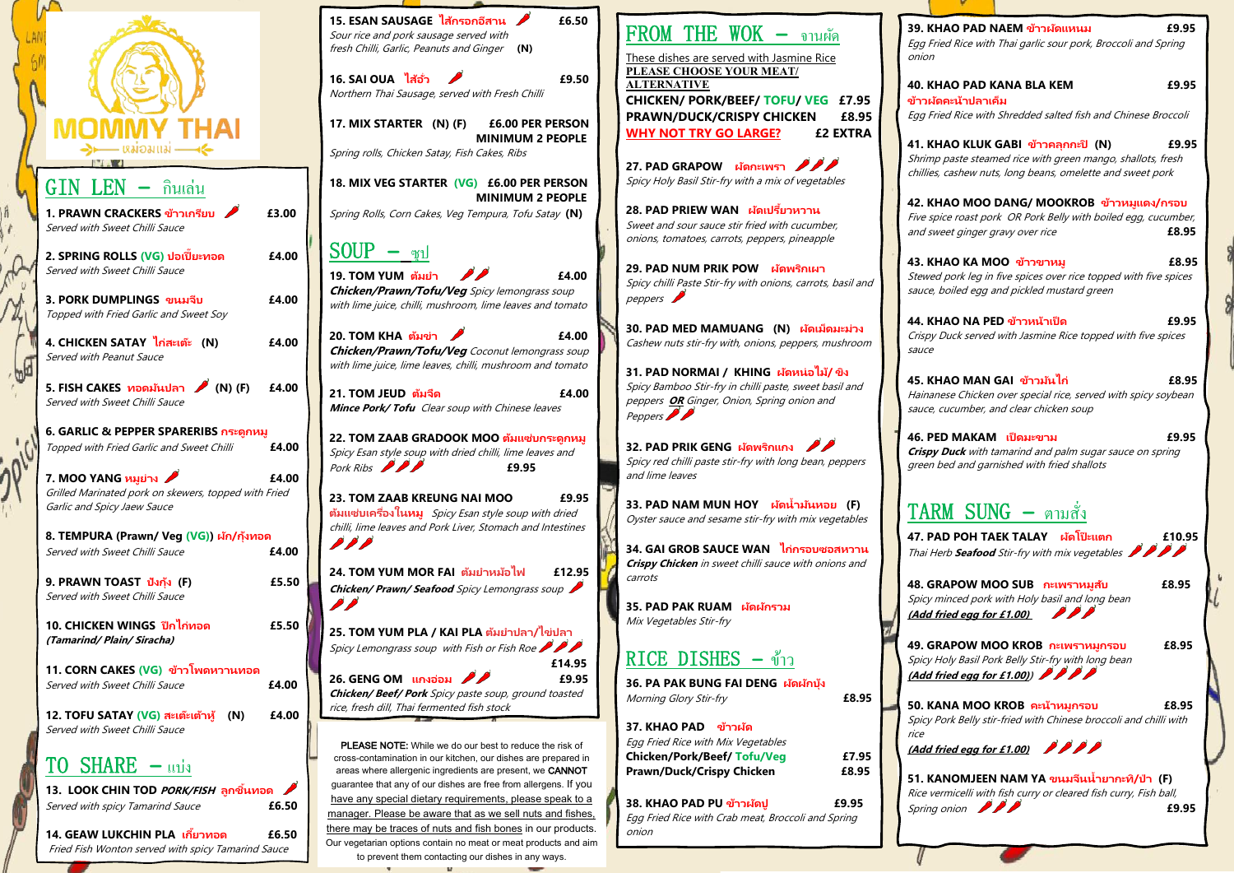### **39. KHAO PAD NAEM ข้าวผัดแหนม £9.95**

Egg Fried Rice with Thai garlic sour pork, Broccoli and Spring

onion

### **40. KHAO PAD KANA BLA KEM £9.95**

**ข้าวผัดคะน้าปลาเค็ม**  Egg Fried Rice with Shredded salted fish and Chinese Broccoli

### **41. KHAO KLUK GABI ข้าวคลุกกะปิ (N) £9.95**

Shrimp paste steamed rice with green mango, shallots, fresh chillies, cashew nuts, long beans, omelette and sweet pork

**44. KHAO NA PED ข้าวหน้าเป็ด £9.95** Crispy Duck served with Jasmine Rice topped with five spices sauce

**42. KHAO MOO DANG/ MOOKROB ข้าวหมูแดง/กรอบ**  Five spice roast pork OR Pork Belly with boiled egg, cucumber, and sweet ginger gravy over rice **£8.95**

**47. PAD POH TAEK TALAY ผัดโป๊ ะแตก £10.95**  Thai Herb **Seafood** Stir-fry with mix vegetables **AB** 

**43. KHAO KA MOO ข้าวขาหมู £8.95** Stewed pork leg in five spices over rice topped with five spices sauce, boiled egg and pickled mustard green

**51. KANOMJEEN NAM YA ขนมจนี น ้ายากะท/ิป่ า (F)** Rice vermicelli with fish curry or cleared fish curry, Fish ball, Spring onion **200 £9.95** 





**45. KHAO MAN GAI ข้าวมันไก่ £8.95** Hainanese Chicken over special rice, served with spicy soybean sauce, cucumber, and clear chicken soup

**46. PED MAKAM เป็ ดมะขาม £9.95 Crispy Duck** with tamarind and palm sugar sauce on spring green bed and garnished with fried shallots

# TARM SUNG **–** ตามสั่ง

**48. GRAPOW MOO SUB กะเพราหมูสับ £8.95**  Spicy minced pork with Holy basil and long bean **(Add fried egg for £1.00)** 

**49. GRAPOW MOO KROB กะเพราหมูกรอบ £8.95**  Spicy Holy Basil Pork Belly Stir-fry with long bean **(Add fried egg for £1.00))** 

**50. KANA MOO KROB คะน้าหมูกรอบ £8.95** Spicy Pork Belly stir-fried with Chinese broccoli and chilli with

rice

**(Add fried egg for £1.00)** 

**33. PAD NAM MUN HOY ผ***ู***้ดน้ำมันหอย (F)** Oyster sauce and sesame stir-fry with mix vegetables

| -IAI<br>เหม่อมแม่                                                                                            |       |
|--------------------------------------------------------------------------------------------------------------|-------|
| GIN LEN<br>กินเล่น                                                                                           |       |
| 1. PRAWN CRACKERS ข้าวเกรียบ<br>Served with Sweet Chilli Sauce                                               | £3.00 |
| 2. SPRING ROLLS (VG) ปอเปี๊ยะทอด<br>Served with Sweet Chilli Sauce                                           | £4.00 |
| 3. PORK DUMPLINGS ขนมจีบ<br>Topped with Fried Garlic and Sweet Soy                                           | £4.00 |
| 4. CHICKEN SATAY ไก่สะเต๊ะ (N)<br>Served with Peanut Sauce                                                   | £4.00 |
| 5. FISH CAKES ทอดมันปลา ✔ (N) (F) £4.00<br>Served with Sweet Chilli Sauce                                    |       |
| 6. GARLIC & PEPPER SPARERIBS กระดูกหมู<br>Topped with Fried Garlic and Sweet Chilli                          | £4.00 |
| 7. MOO YANG หมูย่าง ✔<br>Grilled Marinated pork on skewers, topped with Fried<br>Garlic and Spicy Jaew Sauce | £4.00 |
| 8. TEMPURA (Prawn/ Veg (VG)) ผ <i>ัก</i> /กุ้งทอด<br>Served with Sweet Chilli Sauce                          | £4.00 |
| 9. PRAWN TOAST ปังกุ้ง (F)<br>Served with Sweet Chilli Sauce                                                 | £5.50 |
| 10. CHICKEN WINGS ปีกไก่ทอด<br>(Tamarind/ Plain/ Siracha)                                                    | £5.50 |
| 11. CORN CAKES (VG) ข้าวโพดหวานทอด<br>Served with Sweet Chilli Sauce                                         | £4.00 |
| 12. TOFU SATAY (VG) สะเต๊ะเต้าหู้ (N)<br>Served with Sweet Chilli Sauce                                      | £4.00 |
| TO SHARE - univ                                                                                              |       |
| 13.  LOOK CHIN TOD <i>PORK/FISH</i> ลูกชิ้นทอด<br>Served with spicy Tamarind Sauce                           | £6.50 |

to prevent them contacting our dishes in any ways. $\mathsf{u}$ 

FROM THE WOK **–** จานผัด These dishes are served with Jasmine Rice **PLEASE CHOOSE YOUR MEAT/ ALTERNATIVE CHICKEN/ PORK/BEEF/ TOFU/ VEG £7.95 PRAWN/DUCK/CRISPY CHICKEN £8.95 WHY NOT TRY GO LARGE? £2 EXTRA 27. PAD GRAPOW ผัดกะเพรา** 

Spicy Holy Basil Stir-fry with a mix of vegetables

**28. PAD PRIEW WAN ผดั เปรีย้ วหวาน** Sweet and sour sauce stir fried with cucumber, onions, tomatoes, carrots, peppers, pineapple

**29. PAD NUM PRIK POW ผัดพริกเผา** 

peppers

Peppers **Prop** 

Spicy chilli Paste Stir-fry with onions, carrots, basil and

**30. PAD MED MAMUANG (N) ผัดเม็ดมะม่วง** Cashew nuts stir-fry with, onions, peppers, mushroom

**31. PAD NORMAI / KHING ผัดหน่อไม้/ ขิง** Spicy Bamboo Stir-fry in chilli paste, sweet basil and peppers **OR** Ginger, Onion, Spring onion and

| Sour rice and pork sausage served with<br>fresh Chilli, Garlic, Peanuts and Ginger<br>(N)                                                                                                              |  |  |  |  |  |
|--------------------------------------------------------------------------------------------------------------------------------------------------------------------------------------------------------|--|--|--|--|--|
| 16. SAI OUA ไส้อั่ว<br>£9.50<br>Northern Thai Sausage, served with Fresh Chilli                                                                                                                        |  |  |  |  |  |
| 17. MIX STARTER (N) (F) £6.00 PER PERSON<br><b>MINIMUM 2 PEOPLE</b><br>Spring rolls, Chicken Satay, Fish Cakes, Ribs                                                                                   |  |  |  |  |  |
| 18. MIX VEG STARTER (VG) £6.00 PER PERSON<br><b>MINIMUM 2 PEOPLE</b>                                                                                                                                   |  |  |  |  |  |
| Spring Rolls, Corn Cakes, Veg Tempura, Tofu Satay (N)                                                                                                                                                  |  |  |  |  |  |
| SOUP<br>ซป                                                                                                                                                                                             |  |  |  |  |  |
| $\mathcal{L}$<br>19. TOM YUM ต้มยำ<br>£4.00<br><b>Chicken/Prawn/Tofu/Veg</b> Spicy lemongrass soup<br>with lime juice, chilli, mushroom, lime leaves and tomato                                        |  |  |  |  |  |
| 20. TOM KHA ต้มข่า<br>£4.00<br><b>Chicken/Prawn/Tofu/Veg</b> Coconut lemongrass soup<br>with lime juice, lime leaves, chilli, mushroom and tomato                                                      |  |  |  |  |  |
| 21. TOM JEUD  ต้มจืด<br>£4.00<br>Mince Pork/ Tofu Clear soup with Chinese leaves                                                                                                                       |  |  |  |  |  |
| 22. TOM ZAAB GRADOOK MOO ต้มแซ่บกระดูกหมู<br>Spicy Esan style soup with dried chilli, lime leaves and<br>Pork Ribs<br>£9.95                                                                            |  |  |  |  |  |
|                                                                                                                                                                                                        |  |  |  |  |  |
| <b>23. TOM ZAAB KREUNG NAI MOO</b><br>£9.95<br>ต้มแซ่บเครื่องในหมู Spicy Esan style soup with dried<br>chilli, lime leaves and Pork Liver, Stomach and Intestines                                      |  |  |  |  |  |
| 24. TOM YUM MOR FAI ต้มยำหม้อไฟ<br>£12.95<br>Chicken/ Prawn/ Seafood Spicy Lemongrass soup<br>$\mathcal{L}$                                                                                            |  |  |  |  |  |
| 25. TOM YUM PLA / KAI PLA ต้มยำปลา/ไข่ปลา                                                                                                                                                              |  |  |  |  |  |
| Spicy Lemongrass soup with Fish or Fish Roe <b>AP</b><br>£14.95<br>26. GENG OM แกงอ่อม<br>£9.95<br>Chicken/ Beef/ Pork Spicy paste soup, ground toasted<br>rice, fresh dill, Thai fermented fish stock |  |  |  |  |  |

**32. PAD PRIK GENG ผัดพริกแกง** 

Spicy red chilli paste stir-fry with long bean, peppers

and lime leaves

**34. GAI GROB SAUCE WAN ไก่กรอบซอสหวาน Crispy Chicken** in sweet chilli sauce with onions and

carrots

**35. PAD PAK RUAM ผัดผักรวม**

Mix Vegetables Stir-fry

RICE DISHES **–** ข้าว

**36. PA PAK BUNG FAI DENG ผัดผักบุ้ง** 

Morning Glory Stir-fry **£8.95**

**37. KHAO PAD ข้าวผัด** 

Egg Fried Rice with Mix Vegetables

**Chicken/Pork/Beef/ Tofu/Veg £7.95 Prawn/Duck/Crispy Chicken £8.95**

**38. KHAO PAD PU ข้าวผัดปู £9.95** Egg Fried Rice with Crab meat, Broccoli and Spring

onion

**14. GEAW LUKCHIN PLA เกีย๊ วทอด £6.50**  Fried Fish Wonton served with spicy Tamarind Sauce

there may be traces of nuts and fish bones in our products. Our vegetarian options contain no meat or meat products and aim